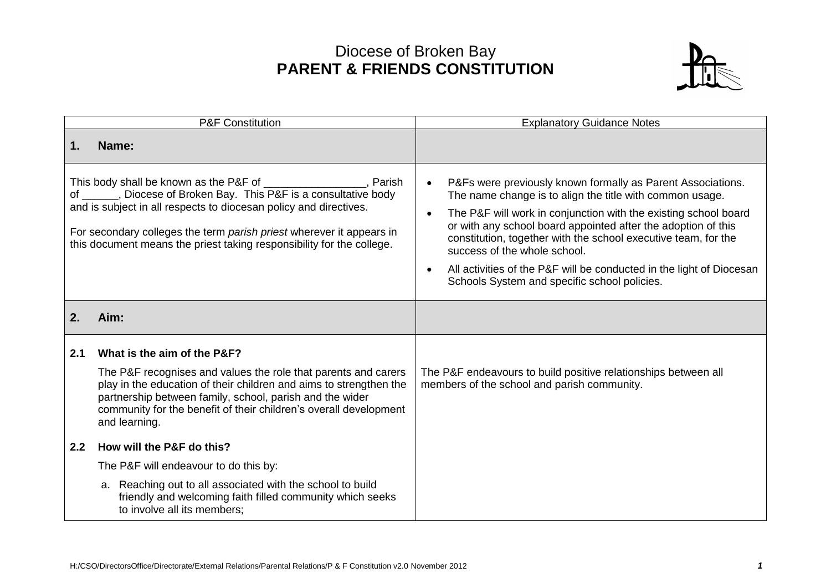## Diocese of Broken Bay **PARENT & FRIENDS CONSTITUTION**



| <b>P&amp;F Constitution</b>                                                                                                                                                                                                                                                                                                                                    |                                                                                                                                                                                                                                                                                        | <b>Explanatory Guidance Notes</b>                                                                                                                                                                                                                                                                                                                                                                                                                                                                                            |  |
|----------------------------------------------------------------------------------------------------------------------------------------------------------------------------------------------------------------------------------------------------------------------------------------------------------------------------------------------------------------|----------------------------------------------------------------------------------------------------------------------------------------------------------------------------------------------------------------------------------------------------------------------------------------|------------------------------------------------------------------------------------------------------------------------------------------------------------------------------------------------------------------------------------------------------------------------------------------------------------------------------------------------------------------------------------------------------------------------------------------------------------------------------------------------------------------------------|--|
| 1.                                                                                                                                                                                                                                                                                                                                                             | Name:                                                                                                                                                                                                                                                                                  |                                                                                                                                                                                                                                                                                                                                                                                                                                                                                                                              |  |
| This body shall be known as the P&F of ____________________, Parish<br>of ______, Diocese of Broken Bay. This P&F is a consultative body<br>and is subject in all respects to diocesan policy and directives.<br>For secondary colleges the term parish priest wherever it appears in<br>this document means the priest taking responsibility for the college. |                                                                                                                                                                                                                                                                                        | P&Fs were previously known formally as Parent Associations.<br>$\bullet$<br>The name change is to align the title with common usage.<br>The P&F will work in conjunction with the existing school board<br>$\bullet$<br>or with any school board appointed after the adoption of this<br>constitution, together with the school executive team, for the<br>success of the whole school.<br>All activities of the P&F will be conducted in the light of Diocesan<br>$\bullet$<br>Schools System and specific school policies. |  |
| 2.                                                                                                                                                                                                                                                                                                                                                             | Aim:                                                                                                                                                                                                                                                                                   |                                                                                                                                                                                                                                                                                                                                                                                                                                                                                                                              |  |
| 2.1                                                                                                                                                                                                                                                                                                                                                            | What is the aim of the P&F?                                                                                                                                                                                                                                                            |                                                                                                                                                                                                                                                                                                                                                                                                                                                                                                                              |  |
|                                                                                                                                                                                                                                                                                                                                                                | The P&F recognises and values the role that parents and carers<br>play in the education of their children and aims to strengthen the<br>partnership between family, school, parish and the wider<br>community for the benefit of their children's overall development<br>and learning. | The P&F endeavours to build positive relationships between all<br>members of the school and parish community.                                                                                                                                                                                                                                                                                                                                                                                                                |  |
| 2.2                                                                                                                                                                                                                                                                                                                                                            | How will the P&F do this?                                                                                                                                                                                                                                                              |                                                                                                                                                                                                                                                                                                                                                                                                                                                                                                                              |  |
|                                                                                                                                                                                                                                                                                                                                                                | The P&F will endeavour to do this by:                                                                                                                                                                                                                                                  |                                                                                                                                                                                                                                                                                                                                                                                                                                                                                                                              |  |
|                                                                                                                                                                                                                                                                                                                                                                | a. Reaching out to all associated with the school to build<br>friendly and welcoming faith filled community which seeks<br>to involve all its members;                                                                                                                                 |                                                                                                                                                                                                                                                                                                                                                                                                                                                                                                                              |  |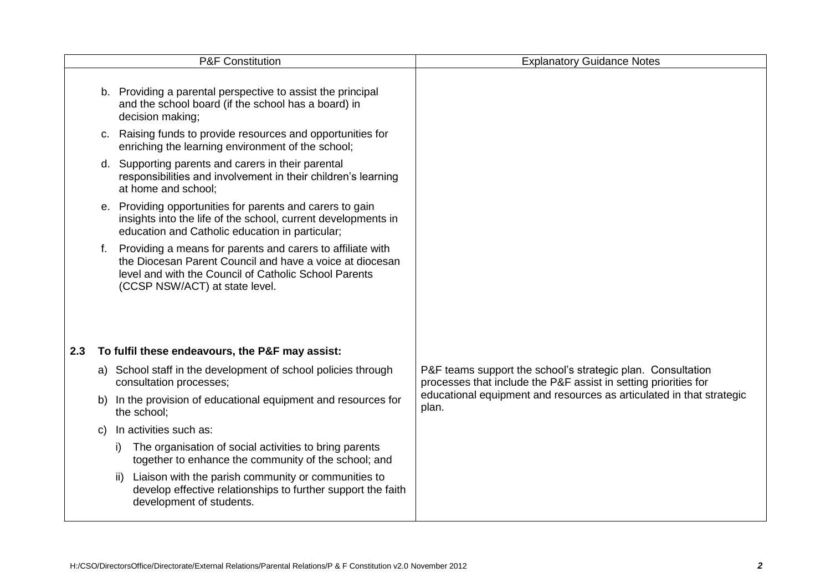|     |    | <b>P&amp;F Constitution</b>                                                                                                                                                                                       | <b>Explanatory Guidance Notes</b>                                                                                              |
|-----|----|-------------------------------------------------------------------------------------------------------------------------------------------------------------------------------------------------------------------|--------------------------------------------------------------------------------------------------------------------------------|
|     |    | b. Providing a parental perspective to assist the principal<br>and the school board (if the school has a board) in<br>decision making;                                                                            |                                                                                                                                |
|     |    | c. Raising funds to provide resources and opportunities for<br>enriching the learning environment of the school;                                                                                                  |                                                                                                                                |
|     |    | d. Supporting parents and carers in their parental<br>responsibilities and involvement in their children's learning<br>at home and school;                                                                        |                                                                                                                                |
|     |    | e. Providing opportunities for parents and carers to gain<br>insights into the life of the school, current developments in<br>education and Catholic education in particular;                                     |                                                                                                                                |
|     | f. | Providing a means for parents and carers to affiliate with<br>the Diocesan Parent Council and have a voice at diocesan<br>level and with the Council of Catholic School Parents<br>(CCSP NSW/ACT) at state level. |                                                                                                                                |
| 2.3 |    | To fulfil these endeavours, the P&F may assist:                                                                                                                                                                   |                                                                                                                                |
|     |    | a) School staff in the development of school policies through<br>consultation processes;                                                                                                                          | P&F teams support the school's strategic plan. Consultation<br>processes that include the P&F assist in setting priorities for |
|     | b) | In the provision of educational equipment and resources for<br>the school;                                                                                                                                        | educational equipment and resources as articulated in that strategic<br>plan.                                                  |
|     | C) | In activities such as:                                                                                                                                                                                            |                                                                                                                                |
|     |    | The organisation of social activities to bring parents<br>i)<br>together to enhance the community of the school; and                                                                                              |                                                                                                                                |
|     |    | Liaison with the parish community or communities to<br>ii)<br>develop effective relationships to further support the faith<br>development of students.                                                            |                                                                                                                                |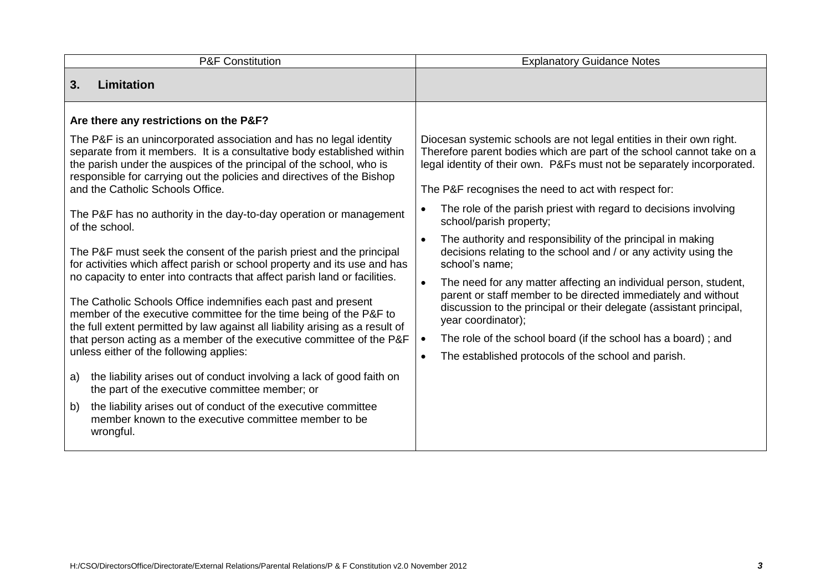| <b>P&amp;F Constitution</b>                                                                                                                                                                                                                                                                                                                                                                                                                                                                                                                                                                                                                                                                                                                                                                                                                              | <b>Explanatory Guidance Notes</b>                                                                                                                                                                                                                                                                                                                                                                                                                                                                                                                               |  |  |
|----------------------------------------------------------------------------------------------------------------------------------------------------------------------------------------------------------------------------------------------------------------------------------------------------------------------------------------------------------------------------------------------------------------------------------------------------------------------------------------------------------------------------------------------------------------------------------------------------------------------------------------------------------------------------------------------------------------------------------------------------------------------------------------------------------------------------------------------------------|-----------------------------------------------------------------------------------------------------------------------------------------------------------------------------------------------------------------------------------------------------------------------------------------------------------------------------------------------------------------------------------------------------------------------------------------------------------------------------------------------------------------------------------------------------------------|--|--|
| 3.<br>Limitation                                                                                                                                                                                                                                                                                                                                                                                                                                                                                                                                                                                                                                                                                                                                                                                                                                         |                                                                                                                                                                                                                                                                                                                                                                                                                                                                                                                                                                 |  |  |
| Are there any restrictions on the P&F?                                                                                                                                                                                                                                                                                                                                                                                                                                                                                                                                                                                                                                                                                                                                                                                                                   |                                                                                                                                                                                                                                                                                                                                                                                                                                                                                                                                                                 |  |  |
| The P&F is an unincorporated association and has no legal identity<br>separate from it members. It is a consultative body established within<br>the parish under the auspices of the principal of the school, who is<br>responsible for carrying out the policies and directives of the Bishop<br>and the Catholic Schools Office.                                                                                                                                                                                                                                                                                                                                                                                                                                                                                                                       | Diocesan systemic schools are not legal entities in their own right.<br>Therefore parent bodies which are part of the school cannot take on a<br>legal identity of their own. P&Fs must not be separately incorporated.<br>The P&F recognises the need to act with respect for:                                                                                                                                                                                                                                                                                 |  |  |
| The P&F has no authority in the day-to-day operation or management<br>of the school.                                                                                                                                                                                                                                                                                                                                                                                                                                                                                                                                                                                                                                                                                                                                                                     | The role of the parish priest with regard to decisions involving<br>$\bullet$<br>school/parish property;                                                                                                                                                                                                                                                                                                                                                                                                                                                        |  |  |
| The P&F must seek the consent of the parish priest and the principal<br>for activities which affect parish or school property and its use and has<br>no capacity to enter into contracts that affect parish land or facilities.<br>The Catholic Schools Office indemnifies each past and present<br>member of the executive committee for the time being of the P&F to<br>the full extent permitted by law against all liability arising as a result of<br>that person acting as a member of the executive committee of the P&F<br>unless either of the following applies:<br>the liability arises out of conduct involving a lack of good faith on<br>a)<br>the part of the executive committee member; or<br>the liability arises out of conduct of the executive committee<br>b)<br>member known to the executive committee member to be<br>wrongful. | The authority and responsibility of the principal in making<br>$\bullet$<br>decisions relating to the school and / or any activity using the<br>school's name:<br>The need for any matter affecting an individual person, student,<br>$\bullet$<br>parent or staff member to be directed immediately and without<br>discussion to the principal or their delegate (assistant principal,<br>year coordinator);<br>The role of the school board (if the school has a board); and<br>$\bullet$<br>The established protocols of the school and parish.<br>$\bullet$ |  |  |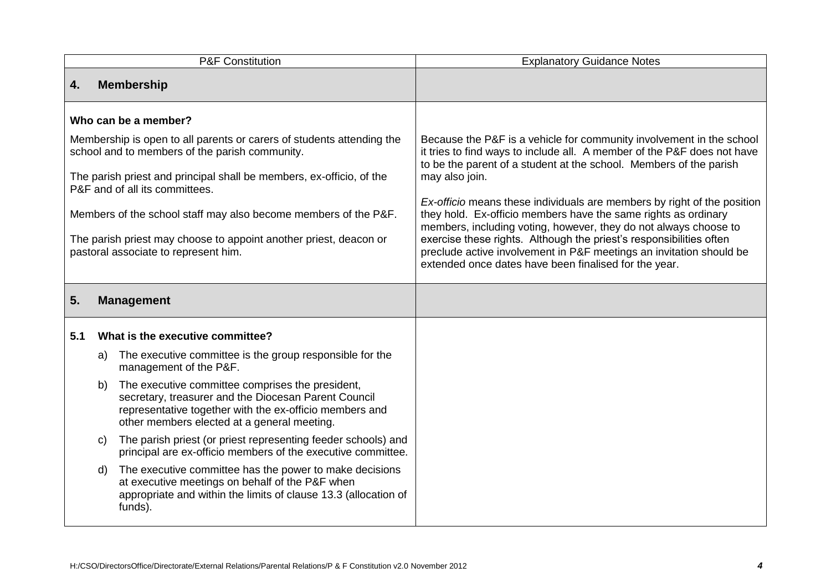| <b>P&amp;F Constitution</b>                                                                                                                                                                                                                                                                                                                                                                                                               |                      |                                                                                                                                                                                                                                                                                                                                                                                                                                                                                                                                                                                                                                                                           | <b>Explanatory Guidance Notes</b>                                                                                                                                                                                                                                                                                                                                                                                                                                                                                                                                                                                                                               |
|-------------------------------------------------------------------------------------------------------------------------------------------------------------------------------------------------------------------------------------------------------------------------------------------------------------------------------------------------------------------------------------------------------------------------------------------|----------------------|---------------------------------------------------------------------------------------------------------------------------------------------------------------------------------------------------------------------------------------------------------------------------------------------------------------------------------------------------------------------------------------------------------------------------------------------------------------------------------------------------------------------------------------------------------------------------------------------------------------------------------------------------------------------------|-----------------------------------------------------------------------------------------------------------------------------------------------------------------------------------------------------------------------------------------------------------------------------------------------------------------------------------------------------------------------------------------------------------------------------------------------------------------------------------------------------------------------------------------------------------------------------------------------------------------------------------------------------------------|
| 4.                                                                                                                                                                                                                                                                                                                                                                                                                                        |                      | <b>Membership</b>                                                                                                                                                                                                                                                                                                                                                                                                                                                                                                                                                                                                                                                         |                                                                                                                                                                                                                                                                                                                                                                                                                                                                                                                                                                                                                                                                 |
| Who can be a member?<br>Membership is open to all parents or carers of students attending the<br>school and to members of the parish community.<br>The parish priest and principal shall be members, ex-officio, of the<br>P&F and of all its committees.<br>Members of the school staff may also become members of the P&F.<br>The parish priest may choose to appoint another priest, deacon or<br>pastoral associate to represent him. |                      |                                                                                                                                                                                                                                                                                                                                                                                                                                                                                                                                                                                                                                                                           | Because the P&F is a vehicle for community involvement in the school<br>it tries to find ways to include all. A member of the P&F does not have<br>to be the parent of a student at the school. Members of the parish<br>may also join.<br>Ex-officio means these individuals are members by right of the position<br>they hold. Ex-officio members have the same rights as ordinary<br>members, including voting, however, they do not always choose to<br>exercise these rights. Although the priest's responsibilities often<br>preclude active involvement in P&F meetings an invitation should be<br>extended once dates have been finalised for the year. |
| 5.                                                                                                                                                                                                                                                                                                                                                                                                                                        |                      | <b>Management</b>                                                                                                                                                                                                                                                                                                                                                                                                                                                                                                                                                                                                                                                         |                                                                                                                                                                                                                                                                                                                                                                                                                                                                                                                                                                                                                                                                 |
| 5.1                                                                                                                                                                                                                                                                                                                                                                                                                                       | a)<br>b)<br>C)<br>d) | What is the executive committee?<br>The executive committee is the group responsible for the<br>management of the P&F.<br>The executive committee comprises the president,<br>secretary, treasurer and the Diocesan Parent Council<br>representative together with the ex-officio members and<br>other members elected at a general meeting.<br>The parish priest (or priest representing feeder schools) and<br>principal are ex-officio members of the executive committee.<br>The executive committee has the power to make decisions<br>at executive meetings on behalf of the P&F when<br>appropriate and within the limits of clause 13.3 (allocation of<br>funds). |                                                                                                                                                                                                                                                                                                                                                                                                                                                                                                                                                                                                                                                                 |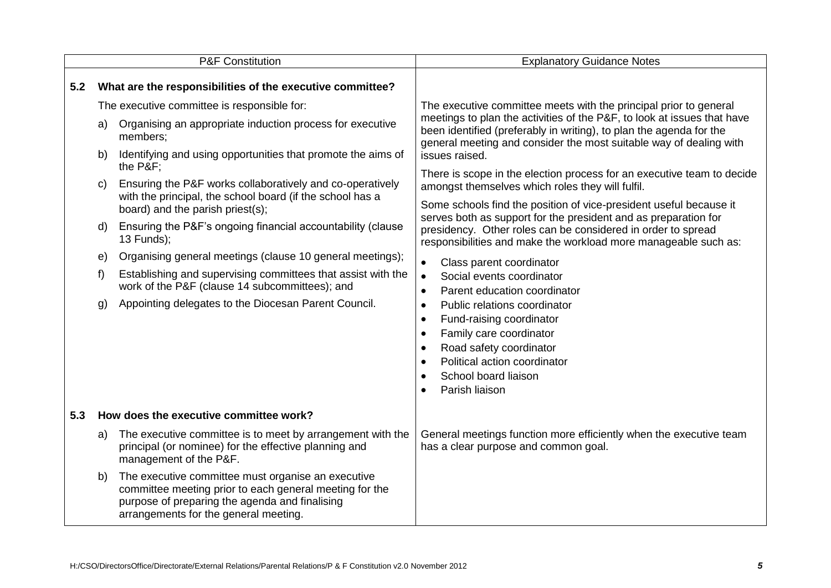|     | <b>P&amp;F Constitution</b>                                          |                                                                                                                                                                                                                                                                                                                                                                                                                                                                                                                                                                                                                                                                                      | <b>Explanatory Guidance Notes</b>                                                                                                                                                                                                                                                                                                                                                                                                                                                                                                                                                                                                                                                                                                                                                                                                                                                                                                                                                                                                                                                                             |  |
|-----|----------------------------------------------------------------------|--------------------------------------------------------------------------------------------------------------------------------------------------------------------------------------------------------------------------------------------------------------------------------------------------------------------------------------------------------------------------------------------------------------------------------------------------------------------------------------------------------------------------------------------------------------------------------------------------------------------------------------------------------------------------------------|---------------------------------------------------------------------------------------------------------------------------------------------------------------------------------------------------------------------------------------------------------------------------------------------------------------------------------------------------------------------------------------------------------------------------------------------------------------------------------------------------------------------------------------------------------------------------------------------------------------------------------------------------------------------------------------------------------------------------------------------------------------------------------------------------------------------------------------------------------------------------------------------------------------------------------------------------------------------------------------------------------------------------------------------------------------------------------------------------------------|--|
| 5.2 | What are the responsibilities of the executive committee?            |                                                                                                                                                                                                                                                                                                                                                                                                                                                                                                                                                                                                                                                                                      |                                                                                                                                                                                                                                                                                                                                                                                                                                                                                                                                                                                                                                                                                                                                                                                                                                                                                                                                                                                                                                                                                                               |  |
|     | a)<br>b)<br>$\mathsf{C}$<br>d)<br>$\epsilon$<br>f)<br>$\mathfrak{g}$ | The executive committee is responsible for:<br>Organising an appropriate induction process for executive<br>members:<br>Identifying and using opportunities that promote the aims of<br>the P&F:<br>Ensuring the P&F works collaboratively and co-operatively<br>with the principal, the school board (if the school has a<br>board) and the parish priest(s);<br>Ensuring the P&F's ongoing financial accountability (clause<br>$13$ Funds);<br>Organising general meetings (clause 10 general meetings);<br>Establishing and supervising committees that assist with the<br>work of the P&F (clause 14 subcommittees); and<br>Appointing delegates to the Diocesan Parent Council. | The executive committee meets with the principal prior to general<br>meetings to plan the activities of the P&F, to look at issues that have<br>been identified (preferably in writing), to plan the agenda for the<br>general meeting and consider the most suitable way of dealing with<br>issues raised.<br>There is scope in the election process for an executive team to decide<br>amongst themselves which roles they will fulfil.<br>Some schools find the position of vice-president useful because it<br>serves both as support for the president and as preparation for<br>presidency. Other roles can be considered in order to spread<br>responsibilities and make the workload more manageable such as:<br>Class parent coordinator<br>$\bullet$<br>Social events coordinator<br>$\bullet$<br>Parent education coordinator<br>$\bullet$<br>Public relations coordinator<br>$\bullet$<br>Fund-raising coordinator<br>$\bullet$<br>Family care coordinator<br>$\bullet$<br>Road safety coordinator<br>$\bullet$<br>Political action coordinator<br>$\bullet$<br>School board liaison<br>$\bullet$ |  |
|     |                                                                      |                                                                                                                                                                                                                                                                                                                                                                                                                                                                                                                                                                                                                                                                                      | Parish liaison<br>$\bullet$                                                                                                                                                                                                                                                                                                                                                                                                                                                                                                                                                                                                                                                                                                                                                                                                                                                                                                                                                                                                                                                                                   |  |
| 5.3 |                                                                      | How does the executive committee work?                                                                                                                                                                                                                                                                                                                                                                                                                                                                                                                                                                                                                                               |                                                                                                                                                                                                                                                                                                                                                                                                                                                                                                                                                                                                                                                                                                                                                                                                                                                                                                                                                                                                                                                                                                               |  |
|     | a)                                                                   | The executive committee is to meet by arrangement with the<br>principal (or nominee) for the effective planning and<br>management of the P&F.                                                                                                                                                                                                                                                                                                                                                                                                                                                                                                                                        | General meetings function more efficiently when the executive team<br>has a clear purpose and common goal.                                                                                                                                                                                                                                                                                                                                                                                                                                                                                                                                                                                                                                                                                                                                                                                                                                                                                                                                                                                                    |  |
|     | b)                                                                   | The executive committee must organise an executive<br>committee meeting prior to each general meeting for the<br>purpose of preparing the agenda and finalising<br>arrangements for the general meeting.                                                                                                                                                                                                                                                                                                                                                                                                                                                                             |                                                                                                                                                                                                                                                                                                                                                                                                                                                                                                                                                                                                                                                                                                                                                                                                                                                                                                                                                                                                                                                                                                               |  |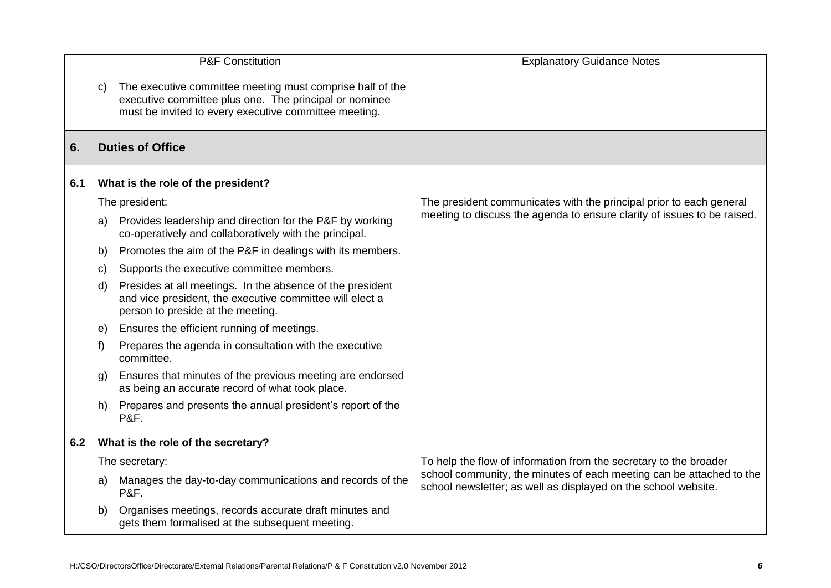|     |              | <b>P&amp;F Constitution</b>                                                                                                                                                  | <b>Explanatory Guidance Notes</b>                                                                                                      |
|-----|--------------|------------------------------------------------------------------------------------------------------------------------------------------------------------------------------|----------------------------------------------------------------------------------------------------------------------------------------|
|     | C)           | The executive committee meeting must comprise half of the<br>executive committee plus one. The principal or nominee<br>must be invited to every executive committee meeting. |                                                                                                                                        |
| 6.  |              | <b>Duties of Office</b>                                                                                                                                                      |                                                                                                                                        |
| 6.1 |              | What is the role of the president?                                                                                                                                           |                                                                                                                                        |
|     |              | The president:                                                                                                                                                               | The president communicates with the principal prior to each general                                                                    |
|     | a)           | Provides leadership and direction for the P&F by working<br>co-operatively and collaboratively with the principal.                                                           | meeting to discuss the agenda to ensure clarity of issues to be raised.                                                                |
|     | b)           | Promotes the aim of the P&F in dealings with its members.                                                                                                                    |                                                                                                                                        |
|     | $\mathbf{C}$ | Supports the executive committee members.                                                                                                                                    |                                                                                                                                        |
|     | d)           | Presides at all meetings. In the absence of the president<br>and vice president, the executive committee will elect a<br>person to preside at the meeting.                   |                                                                                                                                        |
|     | e)           | Ensures the efficient running of meetings.                                                                                                                                   |                                                                                                                                        |
|     | f)           | Prepares the agenda in consultation with the executive<br>committee.                                                                                                         |                                                                                                                                        |
|     | g)           | Ensures that minutes of the previous meeting are endorsed<br>as being an accurate record of what took place.                                                                 |                                                                                                                                        |
|     | h)           | Prepares and presents the annual president's report of the<br><b>P&amp;F.</b>                                                                                                |                                                                                                                                        |
| 6.2 |              | What is the role of the secretary?                                                                                                                                           |                                                                                                                                        |
|     |              | The secretary:                                                                                                                                                               | To help the flow of information from the secretary to the broader                                                                      |
|     | a)           | Manages the day-to-day communications and records of the<br><b>P&amp;F.</b>                                                                                                  | school community, the minutes of each meeting can be attached to the<br>school newsletter; as well as displayed on the school website. |
|     | b)           | Organises meetings, records accurate draft minutes and<br>gets them formalised at the subsequent meeting.                                                                    |                                                                                                                                        |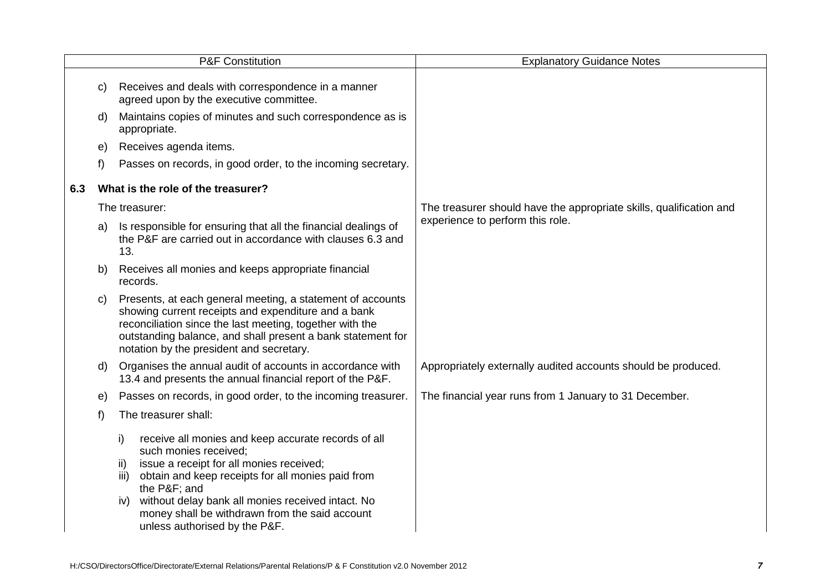|     |              | <b>P&amp;F Constitution</b>                                                                                                                                                                                                                                                                                                                                      | <b>Explanatory Guidance Notes</b>                                   |
|-----|--------------|------------------------------------------------------------------------------------------------------------------------------------------------------------------------------------------------------------------------------------------------------------------------------------------------------------------------------------------------------------------|---------------------------------------------------------------------|
|     | $\mathbf{C}$ | Receives and deals with correspondence in a manner<br>agreed upon by the executive committee.                                                                                                                                                                                                                                                                    |                                                                     |
|     | d)           | Maintains copies of minutes and such correspondence as is<br>appropriate.                                                                                                                                                                                                                                                                                        |                                                                     |
|     | $\Theta$     | Receives agenda items.                                                                                                                                                                                                                                                                                                                                           |                                                                     |
|     | f)           | Passes on records, in good order, to the incoming secretary.                                                                                                                                                                                                                                                                                                     |                                                                     |
| 6.3 |              | What is the role of the treasurer?                                                                                                                                                                                                                                                                                                                               |                                                                     |
|     |              | The treasurer:                                                                                                                                                                                                                                                                                                                                                   | The treasurer should have the appropriate skills, qualification and |
|     | a)           | Is responsible for ensuring that all the financial dealings of<br>the P&F are carried out in accordance with clauses 6.3 and<br>13.                                                                                                                                                                                                                              | experience to perform this role.                                    |
|     | b)           | Receives all monies and keeps appropriate financial<br>records.                                                                                                                                                                                                                                                                                                  |                                                                     |
|     | C)           | Presents, at each general meeting, a statement of accounts<br>showing current receipts and expenditure and a bank<br>reconciliation since the last meeting, together with the<br>outstanding balance, and shall present a bank statement for<br>notation by the president and secretary.                                                                         |                                                                     |
|     | d)           | Organises the annual audit of accounts in accordance with<br>13.4 and presents the annual financial report of the P&F.                                                                                                                                                                                                                                           | Appropriately externally audited accounts should be produced.       |
|     | e)           | Passes on records, in good order, to the incoming treasurer.                                                                                                                                                                                                                                                                                                     | The financial year runs from 1 January to 31 December.              |
|     | f)           | The treasurer shall:                                                                                                                                                                                                                                                                                                                                             |                                                                     |
|     |              | i)<br>receive all monies and keep accurate records of all<br>such monies received;<br>issue a receipt for all monies received;<br>ii)<br>obtain and keep receipts for all monies paid from<br>iii)<br>the P&F and<br>without delay bank all monies received intact. No<br>iv)<br>money shall be withdrawn from the said account<br>unless authorised by the P&F. |                                                                     |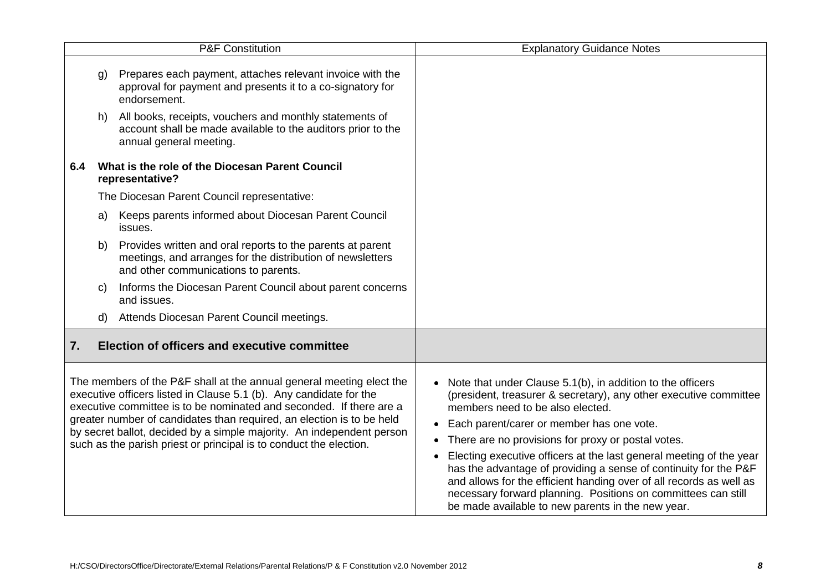| <b>P&amp;F Constitution</b>                                                                                                                                                                                                                                                                                                                                                                                                               |    |                                                                                                                                                                  | <b>Explanatory Guidance Notes</b>                                                                                                                                                                                                                                                                                                                                                                                                                                                                                                                                                                                                                     |
|-------------------------------------------------------------------------------------------------------------------------------------------------------------------------------------------------------------------------------------------------------------------------------------------------------------------------------------------------------------------------------------------------------------------------------------------|----|------------------------------------------------------------------------------------------------------------------------------------------------------------------|-------------------------------------------------------------------------------------------------------------------------------------------------------------------------------------------------------------------------------------------------------------------------------------------------------------------------------------------------------------------------------------------------------------------------------------------------------------------------------------------------------------------------------------------------------------------------------------------------------------------------------------------------------|
|                                                                                                                                                                                                                                                                                                                                                                                                                                           | g) | Prepares each payment, attaches relevant invoice with the<br>approval for payment and presents it to a co-signatory for<br>endorsement.                          |                                                                                                                                                                                                                                                                                                                                                                                                                                                                                                                                                                                                                                                       |
|                                                                                                                                                                                                                                                                                                                                                                                                                                           | h) | All books, receipts, vouchers and monthly statements of<br>account shall be made available to the auditors prior to the<br>annual general meeting.               |                                                                                                                                                                                                                                                                                                                                                                                                                                                                                                                                                                                                                                                       |
| 6.4                                                                                                                                                                                                                                                                                                                                                                                                                                       |    | What is the role of the Diocesan Parent Council<br>representative?                                                                                               |                                                                                                                                                                                                                                                                                                                                                                                                                                                                                                                                                                                                                                                       |
|                                                                                                                                                                                                                                                                                                                                                                                                                                           |    | The Diocesan Parent Council representative:                                                                                                                      |                                                                                                                                                                                                                                                                                                                                                                                                                                                                                                                                                                                                                                                       |
|                                                                                                                                                                                                                                                                                                                                                                                                                                           | a) | Keeps parents informed about Diocesan Parent Council<br>issues.                                                                                                  |                                                                                                                                                                                                                                                                                                                                                                                                                                                                                                                                                                                                                                                       |
|                                                                                                                                                                                                                                                                                                                                                                                                                                           | b) | Provides written and oral reports to the parents at parent<br>meetings, and arranges for the distribution of newsletters<br>and other communications to parents. |                                                                                                                                                                                                                                                                                                                                                                                                                                                                                                                                                                                                                                                       |
|                                                                                                                                                                                                                                                                                                                                                                                                                                           | C) | Informs the Diocesan Parent Council about parent concerns<br>and issues.                                                                                         |                                                                                                                                                                                                                                                                                                                                                                                                                                                                                                                                                                                                                                                       |
|                                                                                                                                                                                                                                                                                                                                                                                                                                           | d) | Attends Diocesan Parent Council meetings.                                                                                                                        |                                                                                                                                                                                                                                                                                                                                                                                                                                                                                                                                                                                                                                                       |
| 7.                                                                                                                                                                                                                                                                                                                                                                                                                                        |    | Election of officers and executive committee                                                                                                                     |                                                                                                                                                                                                                                                                                                                                                                                                                                                                                                                                                                                                                                                       |
| The members of the P&F shall at the annual general meeting elect the<br>executive officers listed in Clause 5.1 (b). Any candidate for the<br>executive committee is to be nominated and seconded. If there are a<br>greater number of candidates than required, an election is to be held<br>by secret ballot, decided by a simple majority. An independent person<br>such as the parish priest or principal is to conduct the election. |    |                                                                                                                                                                  | Note that under Clause 5.1(b), in addition to the officers<br>$\bullet$<br>(president, treasurer & secretary), any other executive committee<br>members need to be also elected.<br>Each parent/carer or member has one vote.<br>$\bullet$<br>There are no provisions for proxy or postal votes.<br>$\bullet$<br>Electing executive officers at the last general meeting of the year<br>has the advantage of providing a sense of continuity for the P&F<br>and allows for the efficient handing over of all records as well as<br>necessary forward planning. Positions on committees can still<br>be made available to new parents in the new year. |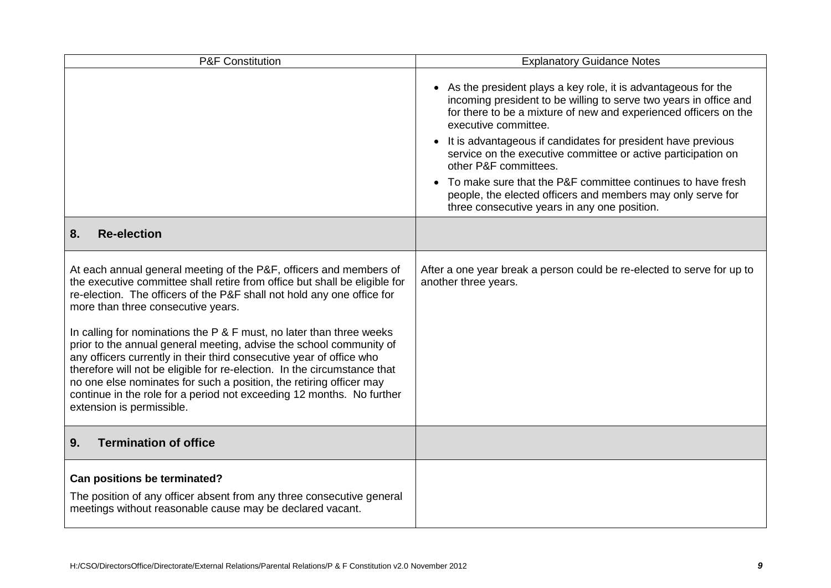| <b>P&amp;F Constitution</b>                                                                                                                                                                                                                                                                                                                                                                                                                                                                                                                                                                                                                                                                                                                      | <b>Explanatory Guidance Notes</b>                                                                                                                                                                                                                                                                                                                                                                                                                                                                                                                                                     |  |
|--------------------------------------------------------------------------------------------------------------------------------------------------------------------------------------------------------------------------------------------------------------------------------------------------------------------------------------------------------------------------------------------------------------------------------------------------------------------------------------------------------------------------------------------------------------------------------------------------------------------------------------------------------------------------------------------------------------------------------------------------|---------------------------------------------------------------------------------------------------------------------------------------------------------------------------------------------------------------------------------------------------------------------------------------------------------------------------------------------------------------------------------------------------------------------------------------------------------------------------------------------------------------------------------------------------------------------------------------|--|
|                                                                                                                                                                                                                                                                                                                                                                                                                                                                                                                                                                                                                                                                                                                                                  | • As the president plays a key role, it is advantageous for the<br>incoming president to be willing to serve two years in office and<br>for there to be a mixture of new and experienced officers on the<br>executive committee.<br>It is advantageous if candidates for president have previous<br>$\bullet$<br>service on the executive committee or active participation on<br>other P&F committees.<br>To make sure that the P&F committee continues to have fresh<br>people, the elected officers and members may only serve for<br>three consecutive years in any one position. |  |
| <b>Re-election</b><br>8.                                                                                                                                                                                                                                                                                                                                                                                                                                                                                                                                                                                                                                                                                                                         |                                                                                                                                                                                                                                                                                                                                                                                                                                                                                                                                                                                       |  |
| At each annual general meeting of the P&F, officers and members of<br>the executive committee shall retire from office but shall be eligible for<br>re-election. The officers of the P&F shall not hold any one office for<br>more than three consecutive years.<br>In calling for nominations the P & F must, no later than three weeks<br>prior to the annual general meeting, advise the school community of<br>any officers currently in their third consecutive year of office who<br>therefore will not be eligible for re-election. In the circumstance that<br>no one else nominates for such a position, the retiring officer may<br>continue in the role for a period not exceeding 12 months. No further<br>extension is permissible. | After a one year break a person could be re-elected to serve for up to<br>another three years.                                                                                                                                                                                                                                                                                                                                                                                                                                                                                        |  |
| <b>Termination of office</b><br>9.                                                                                                                                                                                                                                                                                                                                                                                                                                                                                                                                                                                                                                                                                                               |                                                                                                                                                                                                                                                                                                                                                                                                                                                                                                                                                                                       |  |
| Can positions be terminated?<br>The position of any officer absent from any three consecutive general<br>meetings without reasonable cause may be declared vacant.                                                                                                                                                                                                                                                                                                                                                                                                                                                                                                                                                                               |                                                                                                                                                                                                                                                                                                                                                                                                                                                                                                                                                                                       |  |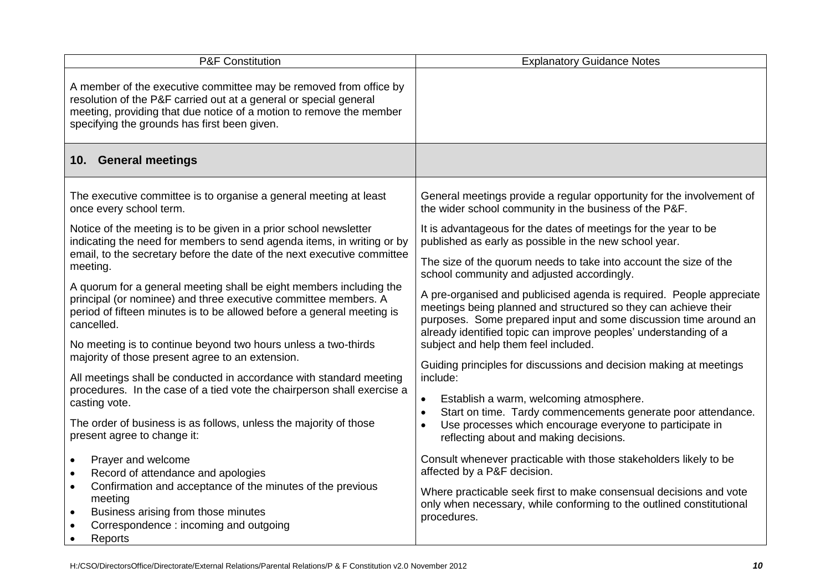| <b>P&amp;F Constitution</b>                                                                                                                                                                                                                                   | <b>Explanatory Guidance Notes</b>                                                                                                                                                                                                                                               |  |
|---------------------------------------------------------------------------------------------------------------------------------------------------------------------------------------------------------------------------------------------------------------|---------------------------------------------------------------------------------------------------------------------------------------------------------------------------------------------------------------------------------------------------------------------------------|--|
| A member of the executive committee may be removed from office by<br>resolution of the P&F carried out at a general or special general<br>meeting, providing that due notice of a motion to remove the member<br>specifying the grounds has first been given. |                                                                                                                                                                                                                                                                                 |  |
| 10. General meetings                                                                                                                                                                                                                                          |                                                                                                                                                                                                                                                                                 |  |
| The executive committee is to organise a general meeting at least<br>once every school term.                                                                                                                                                                  | General meetings provide a regular opportunity for the involvement of<br>the wider school community in the business of the P&F.                                                                                                                                                 |  |
| Notice of the meeting is to be given in a prior school newsletter<br>indicating the need for members to send agenda items, in writing or by                                                                                                                   | It is advantageous for the dates of meetings for the year to be<br>published as early as possible in the new school year.                                                                                                                                                       |  |
| email, to the secretary before the date of the next executive committee<br>meeting.                                                                                                                                                                           | The size of the quorum needs to take into account the size of the<br>school community and adjusted accordingly.                                                                                                                                                                 |  |
| A quorum for a general meeting shall be eight members including the<br>principal (or nominee) and three executive committee members. A<br>period of fifteen minutes is to be allowed before a general meeting is<br>cancelled.                                | A pre-organised and publicised agenda is required. People appreciate<br>meetings being planned and structured so they can achieve their<br>purposes. Some prepared input and some discussion time around an<br>already identified topic can improve peoples' understanding of a |  |
| No meeting is to continue beyond two hours unless a two-thirds<br>majority of those present agree to an extension.                                                                                                                                            | subject and help them feel included.                                                                                                                                                                                                                                            |  |
| All meetings shall be conducted in accordance with standard meeting                                                                                                                                                                                           | Guiding principles for discussions and decision making at meetings<br>include:                                                                                                                                                                                                  |  |
| procedures. In the case of a tied vote the chairperson shall exercise a<br>casting vote.                                                                                                                                                                      | Establish a warm, welcoming atmosphere.<br>$\bullet$                                                                                                                                                                                                                            |  |
| The order of business is as follows, unless the majority of those<br>present agree to change it:                                                                                                                                                              | Start on time. Tardy commencements generate poor attendance.<br>$\bullet$<br>Use processes which encourage everyone to participate in<br>$\bullet$<br>reflecting about and making decisions.                                                                                    |  |
| Prayer and welcome<br>$\bullet$<br>Record of attendance and apologies<br>$\bullet$                                                                                                                                                                            | Consult whenever practicable with those stakeholders likely to be<br>affected by a P&F decision.                                                                                                                                                                                |  |
| Confirmation and acceptance of the minutes of the previous<br>$\bullet$<br>meeting<br>Business arising from those minutes<br>$\bullet$<br>Correspondence: incoming and outgoing<br>Reports<br>$\bullet$                                                       | Where practicable seek first to make consensual decisions and vote<br>only when necessary, while conforming to the outlined constitutional<br>procedures.                                                                                                                       |  |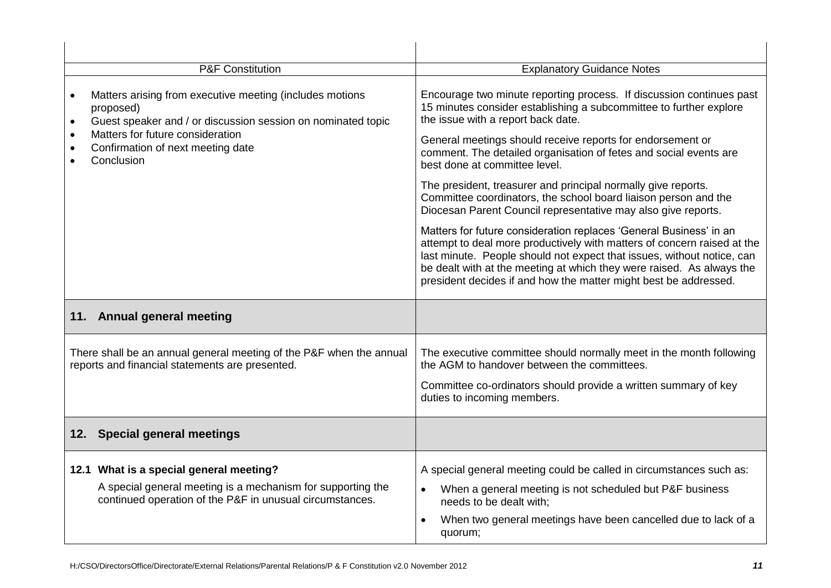| <b>P&amp;F Constitution</b>                                                                                                           | <b>Explanatory Guidance Notes</b>                                                                                                                                                                                                                                                                                                                                    |  |
|---------------------------------------------------------------------------------------------------------------------------------------|----------------------------------------------------------------------------------------------------------------------------------------------------------------------------------------------------------------------------------------------------------------------------------------------------------------------------------------------------------------------|--|
| Matters arising from executive meeting (includes motions<br>proposed)<br>Guest speaker and / or discussion session on nominated topic | Encourage two minute reporting process. If discussion continues past<br>15 minutes consider establishing a subcommittee to further explore<br>the issue with a report back date.                                                                                                                                                                                     |  |
| Matters for future consideration<br>Confirmation of next meeting date<br>Conclusion                                                   | General meetings should receive reports for endorsement or<br>comment. The detailed organisation of fetes and social events are<br>best done at committee level.                                                                                                                                                                                                     |  |
|                                                                                                                                       | The president, treasurer and principal normally give reports.<br>Committee coordinators, the school board liaison person and the<br>Diocesan Parent Council representative may also give reports.                                                                                                                                                                    |  |
|                                                                                                                                       | Matters for future consideration replaces 'General Business' in an<br>attempt to deal more productively with matters of concern raised at the<br>last minute. People should not expect that issues, without notice, can<br>be dealt with at the meeting at which they were raised. As always the<br>president decides if and how the matter might best be addressed. |  |
| 11. Annual general meeting                                                                                                            |                                                                                                                                                                                                                                                                                                                                                                      |  |
| There shall be an annual general meeting of the P&F when the annual<br>reports and financial statements are presented.                | The executive committee should normally meet in the month following<br>the AGM to handover between the committees.                                                                                                                                                                                                                                                   |  |
|                                                                                                                                       | Committee co-ordinators should provide a written summary of key<br>duties to incoming members.                                                                                                                                                                                                                                                                       |  |
| 12. Special general meetings                                                                                                          |                                                                                                                                                                                                                                                                                                                                                                      |  |
| 12.1 What is a special general meeting?                                                                                               | A special general meeting could be called in circumstances such as:                                                                                                                                                                                                                                                                                                  |  |
| A special general meeting is a mechanism for supporting the<br>continued operation of the P&F in unusual circumstances.               | When a general meeting is not scheduled but P&F business<br>needs to be dealt with;                                                                                                                                                                                                                                                                                  |  |
|                                                                                                                                       | When two general meetings have been cancelled due to lack of a<br>quorum;                                                                                                                                                                                                                                                                                            |  |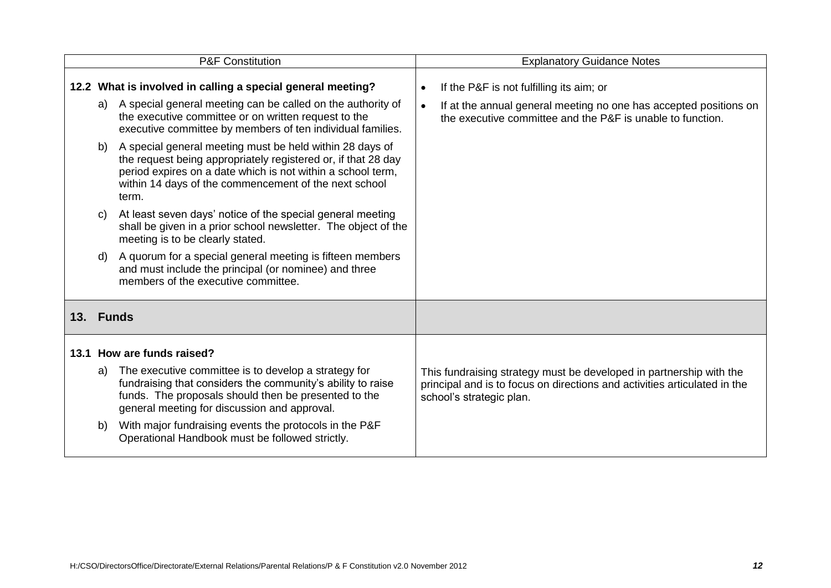|           |    | <b>P&amp;F Constitution</b>                                                                                                                                                                                                                                |           | <b>Explanatory Guidance Notes</b>                                                                                                                                            |
|-----------|----|------------------------------------------------------------------------------------------------------------------------------------------------------------------------------------------------------------------------------------------------------------|-----------|------------------------------------------------------------------------------------------------------------------------------------------------------------------------------|
|           | a) | 12.2 What is involved in calling a special general meeting?<br>A special general meeting can be called on the authority of                                                                                                                                 | $\bullet$ | If the P&F is not fulfilling its aim; or                                                                                                                                     |
|           |    | the executive committee or on written request to the<br>executive committee by members of ten individual families.                                                                                                                                         |           | If at the annual general meeting no one has accepted positions on<br>the executive committee and the P&F is unable to function.                                              |
|           | b) | A special general meeting must be held within 28 days of<br>the request being appropriately registered or, if that 28 day<br>period expires on a date which is not within a school term,<br>within 14 days of the commencement of the next school<br>term. |           |                                                                                                                                                                              |
|           | C) | At least seven days' notice of the special general meeting<br>shall be given in a prior school newsletter. The object of the<br>meeting is to be clearly stated.                                                                                           |           |                                                                                                                                                                              |
|           | d) | A quorum for a special general meeting is fifteen members<br>and must include the principal (or nominee) and three<br>members of the executive committee.                                                                                                  |           |                                                                                                                                                                              |
| 13. Funds |    |                                                                                                                                                                                                                                                            |           |                                                                                                                                                                              |
|           |    | 13.1 How are funds raised?                                                                                                                                                                                                                                 |           |                                                                                                                                                                              |
|           | a) | The executive committee is to develop a strategy for<br>fundraising that considers the community's ability to raise<br>funds. The proposals should then be presented to the<br>general meeting for discussion and approval.                                |           | This fundraising strategy must be developed in partnership with the<br>principal and is to focus on directions and activities articulated in the<br>school's strategic plan. |
|           | b) | With major fundraising events the protocols in the P&F<br>Operational Handbook must be followed strictly.                                                                                                                                                  |           |                                                                                                                                                                              |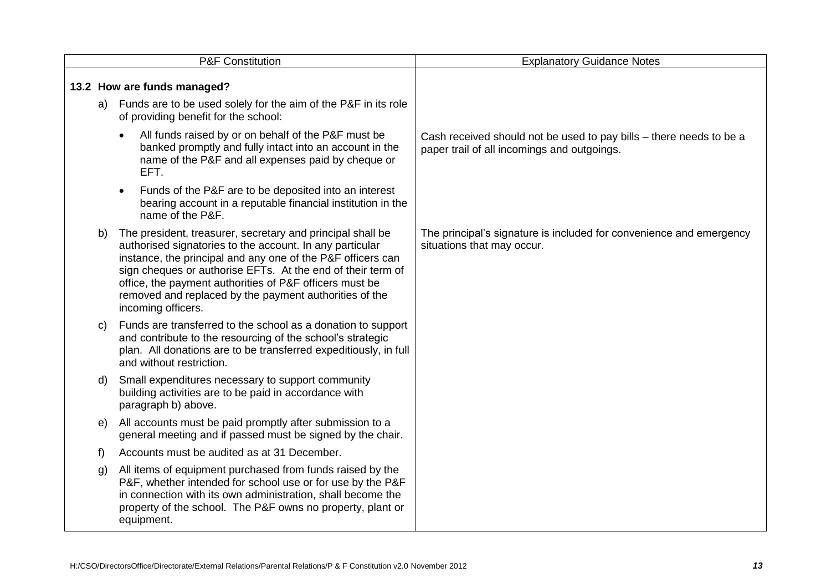| <b>P&amp;F Constitution</b> |              |                                                                                                                                                                                                                                                                                                                                                                                                 | <b>Explanatory Guidance Notes</b>                                                                                  |
|-----------------------------|--------------|-------------------------------------------------------------------------------------------------------------------------------------------------------------------------------------------------------------------------------------------------------------------------------------------------------------------------------------------------------------------------------------------------|--------------------------------------------------------------------------------------------------------------------|
|                             |              | 13.2 How are funds managed?                                                                                                                                                                                                                                                                                                                                                                     |                                                                                                                    |
|                             |              | a) Funds are to be used solely for the aim of the P&F in its role<br>of providing benefit for the school:                                                                                                                                                                                                                                                                                       |                                                                                                                    |
|                             |              | All funds raised by or on behalf of the P&F must be<br>banked promptly and fully intact into an account in the<br>name of the P&F and all expenses paid by cheque or<br>EFT.                                                                                                                                                                                                                    | Cash received should not be used to pay bills - there needs to be a<br>paper trail of all incomings and outgoings. |
|                             |              | Funds of the P&F are to be deposited into an interest<br>bearing account in a reputable financial institution in the<br>name of the P&F.                                                                                                                                                                                                                                                        |                                                                                                                    |
|                             | b)           | The president, treasurer, secretary and principal shall be<br>authorised signatories to the account. In any particular<br>instance, the principal and any one of the P&F officers can<br>sign cheques or authorise EFTs. At the end of their term of<br>office, the payment authorities of P&F officers must be<br>removed and replaced by the payment authorities of the<br>incoming officers. | The principal's signature is included for convenience and emergency<br>situations that may occur.                  |
|                             | C)           | Funds are transferred to the school as a donation to support<br>and contribute to the resourcing of the school's strategic<br>plan. All donations are to be transferred expeditiously, in full<br>and without restriction.                                                                                                                                                                      |                                                                                                                    |
|                             | d)           | Small expenditures necessary to support community<br>building activities are to be paid in accordance with<br>paragraph b) above.                                                                                                                                                                                                                                                               |                                                                                                                    |
|                             | e)           | All accounts must be paid promptly after submission to a<br>general meeting and if passed must be signed by the chair.                                                                                                                                                                                                                                                                          |                                                                                                                    |
|                             | $\mathsf{f}$ | Accounts must be audited as at 31 December.                                                                                                                                                                                                                                                                                                                                                     |                                                                                                                    |
|                             | g)           | All items of equipment purchased from funds raised by the<br>P&F, whether intended for school use or for use by the P&F<br>in connection with its own administration, shall become the<br>property of the school. The P&F owns no property, plant or<br>equipment.                                                                                                                              |                                                                                                                    |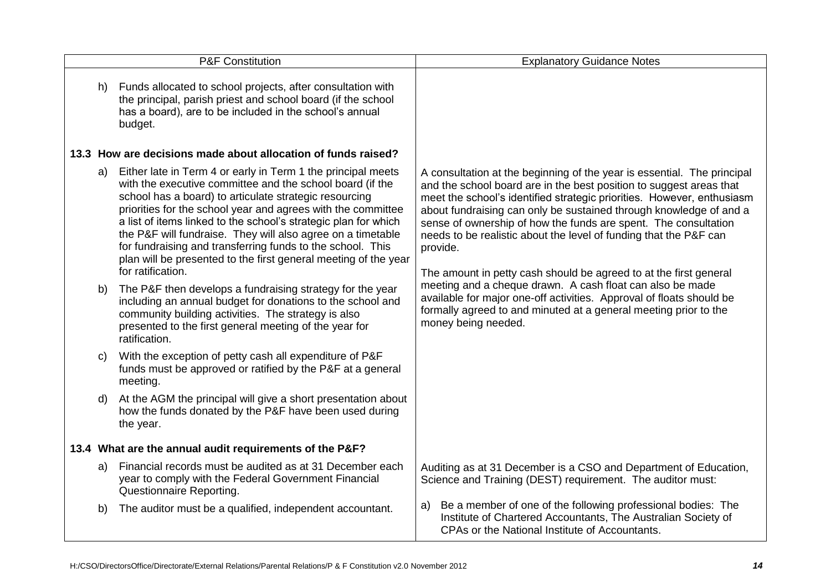| <b>P&amp;F Constitution</b> |    |                                                                                                                                                                                                                                                                                                                                                                                                                                                                                                                                                | <b>Explanatory Guidance Notes</b>                                                                                                                                                                                                                                                                                                                                                                                                                                                                                       |
|-----------------------------|----|------------------------------------------------------------------------------------------------------------------------------------------------------------------------------------------------------------------------------------------------------------------------------------------------------------------------------------------------------------------------------------------------------------------------------------------------------------------------------------------------------------------------------------------------|-------------------------------------------------------------------------------------------------------------------------------------------------------------------------------------------------------------------------------------------------------------------------------------------------------------------------------------------------------------------------------------------------------------------------------------------------------------------------------------------------------------------------|
|                             | h) | Funds allocated to school projects, after consultation with<br>the principal, parish priest and school board (if the school<br>has a board), are to be included in the school's annual<br>budget.                                                                                                                                                                                                                                                                                                                                              |                                                                                                                                                                                                                                                                                                                                                                                                                                                                                                                         |
|                             |    | 13.3 How are decisions made about allocation of funds raised?                                                                                                                                                                                                                                                                                                                                                                                                                                                                                  |                                                                                                                                                                                                                                                                                                                                                                                                                                                                                                                         |
|                             |    | a) Either late in Term 4 or early in Term 1 the principal meets<br>with the executive committee and the school board (if the<br>school has a board) to articulate strategic resourcing<br>priorities for the school year and agrees with the committee<br>a list of items linked to the school's strategic plan for which<br>the P&F will fundraise. They will also agree on a timetable<br>for fundraising and transferring funds to the school. This<br>plan will be presented to the first general meeting of the year<br>for ratification. | A consultation at the beginning of the year is essential. The principal<br>and the school board are in the best position to suggest areas that<br>meet the school's identified strategic priorities. However, enthusiasm<br>about fundraising can only be sustained through knowledge of and a<br>sense of ownership of how the funds are spent. The consultation<br>needs to be realistic about the level of funding that the P&F can<br>provide.<br>The amount in petty cash should be agreed to at the first general |
|                             | b) | The P&F then develops a fundraising strategy for the year<br>including an annual budget for donations to the school and<br>community building activities. The strategy is also<br>presented to the first general meeting of the year for<br>ratification.                                                                                                                                                                                                                                                                                      | meeting and a cheque drawn. A cash float can also be made<br>available for major one-off activities. Approval of floats should be<br>formally agreed to and minuted at a general meeting prior to the<br>money being needed.                                                                                                                                                                                                                                                                                            |
|                             | C) | With the exception of petty cash all expenditure of P&F<br>funds must be approved or ratified by the P&F at a general<br>meeting.                                                                                                                                                                                                                                                                                                                                                                                                              |                                                                                                                                                                                                                                                                                                                                                                                                                                                                                                                         |
|                             |    | At the AGM the principal will give a short presentation about<br>how the funds donated by the P&F have been used during<br>the year.                                                                                                                                                                                                                                                                                                                                                                                                           |                                                                                                                                                                                                                                                                                                                                                                                                                                                                                                                         |
|                             |    | 13.4 What are the annual audit requirements of the P&F?                                                                                                                                                                                                                                                                                                                                                                                                                                                                                        |                                                                                                                                                                                                                                                                                                                                                                                                                                                                                                                         |
|                             | a) | Financial records must be audited as at 31 December each<br>year to comply with the Federal Government Financial<br>Questionnaire Reporting.                                                                                                                                                                                                                                                                                                                                                                                                   | Auditing as at 31 December is a CSO and Department of Education,<br>Science and Training (DEST) requirement. The auditor must:                                                                                                                                                                                                                                                                                                                                                                                          |
|                             | b) | The auditor must be a qualified, independent accountant.                                                                                                                                                                                                                                                                                                                                                                                                                                                                                       | Be a member of one of the following professional bodies: The<br>a)<br>Institute of Chartered Accountants, The Australian Society of<br>CPAs or the National Institute of Accountants.                                                                                                                                                                                                                                                                                                                                   |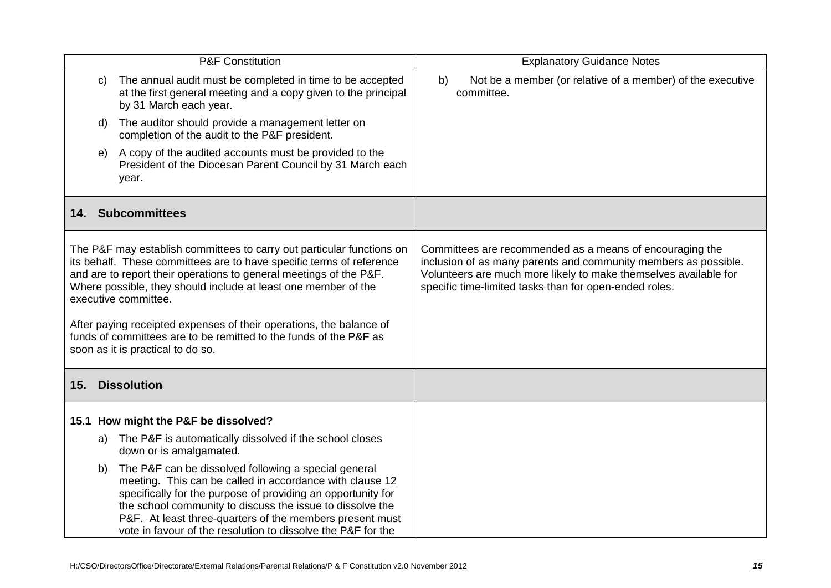| <b>P&amp;F Constitution</b>                                                                                                                                                                                                                                                                                                                                                                                                                                                                    |                                                                                                                                                                                                                                                                                                                                                                                 | <b>Explanatory Guidance Notes</b>                                                                                                                                                                                                                         |
|------------------------------------------------------------------------------------------------------------------------------------------------------------------------------------------------------------------------------------------------------------------------------------------------------------------------------------------------------------------------------------------------------------------------------------------------------------------------------------------------|---------------------------------------------------------------------------------------------------------------------------------------------------------------------------------------------------------------------------------------------------------------------------------------------------------------------------------------------------------------------------------|-----------------------------------------------------------------------------------------------------------------------------------------------------------------------------------------------------------------------------------------------------------|
|                                                                                                                                                                                                                                                                                                                                                                                                                                                                                                | The annual audit must be completed in time to be accepted<br>C)<br>at the first general meeting and a copy given to the principal<br>by 31 March each year.                                                                                                                                                                                                                     | Not be a member (or relative of a member) of the executive<br>b)<br>committee.                                                                                                                                                                            |
|                                                                                                                                                                                                                                                                                                                                                                                                                                                                                                | The auditor should provide a management letter on<br>d)<br>completion of the audit to the P&F president.                                                                                                                                                                                                                                                                        |                                                                                                                                                                                                                                                           |
|                                                                                                                                                                                                                                                                                                                                                                                                                                                                                                | A copy of the audited accounts must be provided to the<br>e)<br>President of the Diocesan Parent Council by 31 March each<br>year.                                                                                                                                                                                                                                              |                                                                                                                                                                                                                                                           |
|                                                                                                                                                                                                                                                                                                                                                                                                                                                                                                | 14. Subcommittees                                                                                                                                                                                                                                                                                                                                                               |                                                                                                                                                                                                                                                           |
| The P&F may establish committees to carry out particular functions on<br>its behalf. These committees are to have specific terms of reference<br>and are to report their operations to general meetings of the P&F.<br>Where possible, they should include at least one member of the<br>executive committee.<br>After paying receipted expenses of their operations, the balance of<br>funds of committees are to be remitted to the funds of the P&F as<br>soon as it is practical to do so. |                                                                                                                                                                                                                                                                                                                                                                                 | Committees are recommended as a means of encouraging the<br>inclusion of as many parents and community members as possible.<br>Volunteers are much more likely to make themselves available for<br>specific time-limited tasks than for open-ended roles. |
|                                                                                                                                                                                                                                                                                                                                                                                                                                                                                                | 15. Dissolution                                                                                                                                                                                                                                                                                                                                                                 |                                                                                                                                                                                                                                                           |
|                                                                                                                                                                                                                                                                                                                                                                                                                                                                                                | 15.1 How might the P&F be dissolved?                                                                                                                                                                                                                                                                                                                                            |                                                                                                                                                                                                                                                           |
|                                                                                                                                                                                                                                                                                                                                                                                                                                                                                                | The P&F is automatically dissolved if the school closes<br>a)<br>down or is amalgamated.                                                                                                                                                                                                                                                                                        |                                                                                                                                                                                                                                                           |
|                                                                                                                                                                                                                                                                                                                                                                                                                                                                                                | The P&F can be dissolved following a special general<br>b)<br>meeting. This can be called in accordance with clause 12<br>specifically for the purpose of providing an opportunity for<br>the school community to discuss the issue to dissolve the<br>P&F. At least three-quarters of the members present must<br>vote in favour of the resolution to dissolve the P&F for the |                                                                                                                                                                                                                                                           |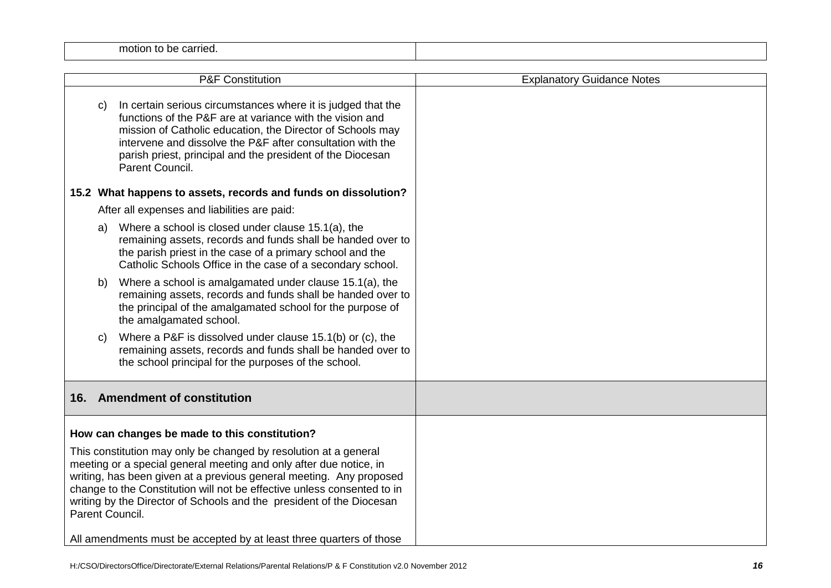| motion<br>. Je carrie⊂.<br>ιυ ι |  |
|---------------------------------|--|
|                                 |  |

|                                                                                                                                                                                                                                                                                                                                                                                     |    | <b>P&amp;F Constitution</b>                                                                                                                                                                                                                                                                                                           | <b>Explanatory Guidance Notes</b> |
|-------------------------------------------------------------------------------------------------------------------------------------------------------------------------------------------------------------------------------------------------------------------------------------------------------------------------------------------------------------------------------------|----|---------------------------------------------------------------------------------------------------------------------------------------------------------------------------------------------------------------------------------------------------------------------------------------------------------------------------------------|-----------------------------------|
|                                                                                                                                                                                                                                                                                                                                                                                     | C) | In certain serious circumstances where it is judged that the<br>functions of the P&F are at variance with the vision and<br>mission of Catholic education, the Director of Schools may<br>intervene and dissolve the P&F after consultation with the<br>parish priest, principal and the president of the Diocesan<br>Parent Council. |                                   |
|                                                                                                                                                                                                                                                                                                                                                                                     |    | 15.2 What happens to assets, records and funds on dissolution?                                                                                                                                                                                                                                                                        |                                   |
|                                                                                                                                                                                                                                                                                                                                                                                     |    | After all expenses and liabilities are paid:                                                                                                                                                                                                                                                                                          |                                   |
|                                                                                                                                                                                                                                                                                                                                                                                     | a) | Where a school is closed under clause 15.1(a), the<br>remaining assets, records and funds shall be handed over to<br>the parish priest in the case of a primary school and the<br>Catholic Schools Office in the case of a secondary school.                                                                                          |                                   |
|                                                                                                                                                                                                                                                                                                                                                                                     | b) | Where a school is amalgamated under clause 15.1(a), the<br>remaining assets, records and funds shall be handed over to<br>the principal of the amalgamated school for the purpose of<br>the amalgamated school.                                                                                                                       |                                   |
|                                                                                                                                                                                                                                                                                                                                                                                     | C) | Where a P&F is dissolved under clause 15.1(b) or (c), the<br>remaining assets, records and funds shall be handed over to<br>the school principal for the purposes of the school.                                                                                                                                                      |                                   |
|                                                                                                                                                                                                                                                                                                                                                                                     |    | 16. Amendment of constitution                                                                                                                                                                                                                                                                                                         |                                   |
|                                                                                                                                                                                                                                                                                                                                                                                     |    | How can changes be made to this constitution?                                                                                                                                                                                                                                                                                         |                                   |
| This constitution may only be changed by resolution at a general<br>meeting or a special general meeting and only after due notice, in<br>writing, has been given at a previous general meeting. Any proposed<br>change to the Constitution will not be effective unless consented to in<br>writing by the Director of Schools and the president of the Diocesan<br>Parent Council. |    | All amendments must be accepted by at least three quarters of those                                                                                                                                                                                                                                                                   |                                   |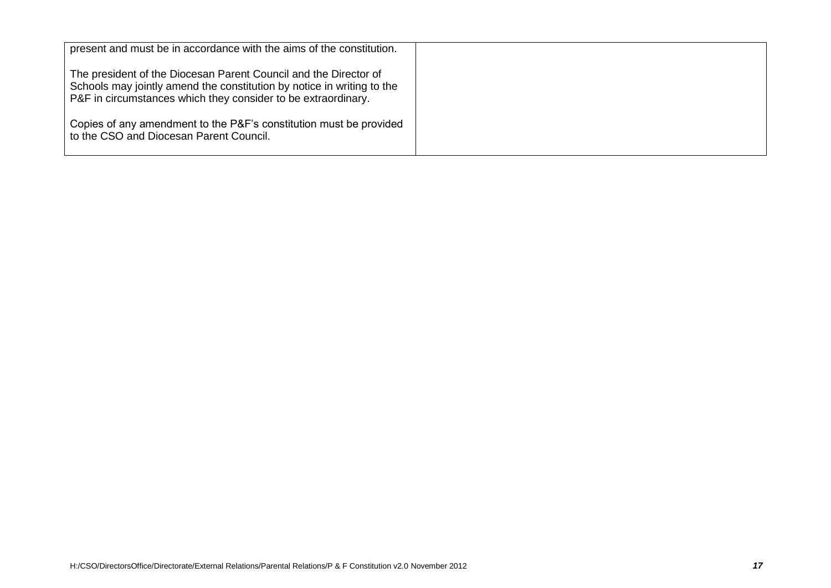| present and must be in accordance with the aims of the constitution.                                                                                                                                        |  |
|-------------------------------------------------------------------------------------------------------------------------------------------------------------------------------------------------------------|--|
| The president of the Diocesan Parent Council and the Director of<br>Schools may jointly amend the constitution by notice in writing to the<br>P&F in circumstances which they consider to be extraordinary. |  |
| Copies of any amendment to the P&F's constitution must be provided<br>to the CSO and Diocesan Parent Council.                                                                                               |  |